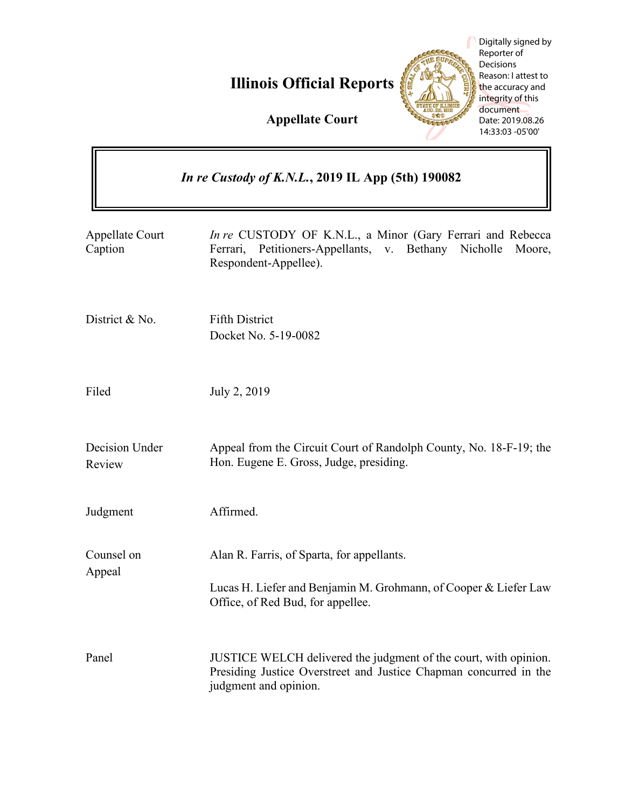**Illinois Official Reports**



Digitally signed by Reporter of **Decisions** Reason: I attest to the accuracy and integrity of this document Date: 2019.08.26 14:33:03 -05'00'

 $\overline{\phantom{1}}$ 

**Appellate Court**

| <i>In re Custody of K.N.L.</i> , 2019 IL App (5th) 190082 |                                                                                                                                                                |
|-----------------------------------------------------------|----------------------------------------------------------------------------------------------------------------------------------------------------------------|
| <b>Appellate Court</b><br>Caption                         | In re CUSTODY OF K.N.L., a Minor (Gary Ferrari and Rebecca<br>Ferrari, Petitioners-Appellants, v. Bethany Nicholle Moore,<br>Respondent-Appellee).             |
| District & No.                                            | <b>Fifth District</b><br>Docket No. 5-19-0082                                                                                                                  |
| Filed                                                     | July 2, 2019                                                                                                                                                   |
| Decision Under<br>Review                                  | Appeal from the Circuit Court of Randolph County, No. 18-F-19; the<br>Hon. Eugene E. Gross, Judge, presiding.                                                  |
| Judgment                                                  | Affirmed.                                                                                                                                                      |
| Counsel on<br>Appeal                                      | Alan R. Farris, of Sparta, for appellants.<br>Lucas H. Liefer and Benjamin M. Grohmann, of Cooper & Liefer Law<br>Office, of Red Bud, for appellee.            |
| Panel                                                     | JUSTICE WELCH delivered the judgment of the court, with opinion.<br>Presiding Justice Overstreet and Justice Chapman concurred in the<br>judgment and opinion. |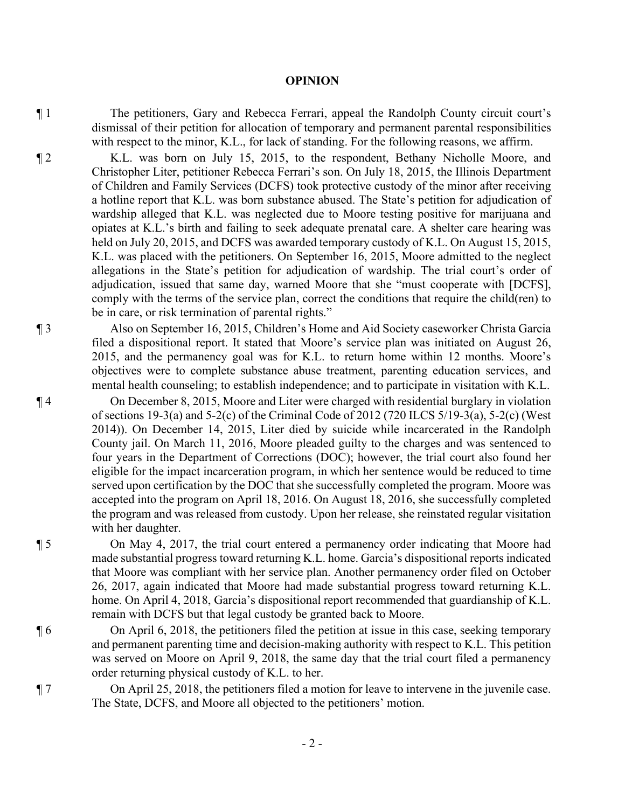## **OPINION**

¶ 1 The petitioners, Gary and Rebecca Ferrari, appeal the Randolph County circuit court's dismissal of their petition for allocation of temporary and permanent parental responsibilities with respect to the minor, K.L., for lack of standing. For the following reasons, we affirm.

¶ 2 K.L. was born on July 15, 2015, to the respondent, Bethany Nicholle Moore, and Christopher Liter, petitioner Rebecca Ferrari's son. On July 18, 2015, the Illinois Department of Children and Family Services (DCFS) took protective custody of the minor after receiving a hotline report that K.L. was born substance abused. The State's petition for adjudication of wardship alleged that K.L. was neglected due to Moore testing positive for marijuana and opiates at K.L.'s birth and failing to seek adequate prenatal care. A shelter care hearing was held on July 20, 2015, and DCFS was awarded temporary custody of K.L. On August 15, 2015, K.L. was placed with the petitioners. On September 16, 2015, Moore admitted to the neglect allegations in the State's petition for adjudication of wardship. The trial court's order of adjudication, issued that same day, warned Moore that she "must cooperate with [DCFS], comply with the terms of the service plan, correct the conditions that require the child(ren) to be in care, or risk termination of parental rights."

¶ 3 Also on September 16, 2015, Children's Home and Aid Society caseworker Christa Garcia filed a dispositional report. It stated that Moore's service plan was initiated on August 26, 2015, and the permanency goal was for K.L. to return home within 12 months. Moore's objectives were to complete substance abuse treatment, parenting education services, and mental health counseling; to establish independence; and to participate in visitation with K.L.

¶ 4 On December 8, 2015, Moore and Liter were charged with residential burglary in violation of sections 19-3(a) and 5-2(c) of the Criminal Code of 2012 (720 ILCS 5/19-3(a), 5-2(c) (West 2014)). On December 14, 2015, Liter died by suicide while incarcerated in the Randolph County jail. On March 11, 2016, Moore pleaded guilty to the charges and was sentenced to four years in the Department of Corrections (DOC); however, the trial court also found her eligible for the impact incarceration program, in which her sentence would be reduced to time served upon certification by the DOC that she successfully completed the program. Moore was accepted into the program on April 18, 2016. On August 18, 2016, she successfully completed the program and was released from custody. Upon her release, she reinstated regular visitation with her daughter.

¶ 5 On May 4, 2017, the trial court entered a permanency order indicating that Moore had made substantial progress toward returning K.L. home. Garcia's dispositional reports indicated that Moore was compliant with her service plan. Another permanency order filed on October 26, 2017, again indicated that Moore had made substantial progress toward returning K.L. home. On April 4, 2018, Garcia's dispositional report recommended that guardianship of K.L. remain with DCFS but that legal custody be granted back to Moore.

¶ 6 On April 6, 2018, the petitioners filed the petition at issue in this case, seeking temporary and permanent parenting time and decision-making authority with respect to K.L. This petition was served on Moore on April 9, 2018, the same day that the trial court filed a permanency order returning physical custody of K.L. to her.

¶ 7 On April 25, 2018, the petitioners filed a motion for leave to intervene in the juvenile case. The State, DCFS, and Moore all objected to the petitioners' motion.

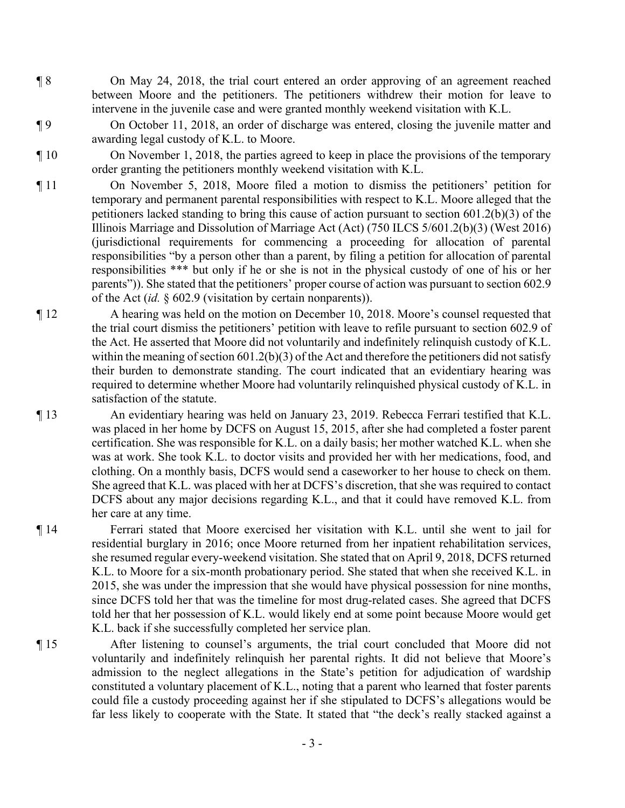¶ 8 On May 24, 2018, the trial court entered an order approving of an agreement reached between Moore and the petitioners. The petitioners withdrew their motion for leave to intervene in the juvenile case and were granted monthly weekend visitation with K.L.

¶ 9 On October 11, 2018, an order of discharge was entered, closing the juvenile matter and awarding legal custody of K.L. to Moore.

¶ 10 On November 1, 2018, the parties agreed to keep in place the provisions of the temporary order granting the petitioners monthly weekend visitation with K.L.

- ¶ 11 On November 5, 2018, Moore filed a motion to dismiss the petitioners' petition for temporary and permanent parental responsibilities with respect to K.L. Moore alleged that the petitioners lacked standing to bring this cause of action pursuant to section 601.2(b)(3) of the Illinois Marriage and Dissolution of Marriage Act (Act) (750 ILCS 5/601.2(b)(3) (West 2016) (jurisdictional requirements for commencing a proceeding for allocation of parental responsibilities "by a person other than a parent, by filing a petition for allocation of parental responsibilities \*\*\* but only if he or she is not in the physical custody of one of his or her parents")). She stated that the petitioners' proper course of action was pursuant to section 602.9 of the Act (*id.* § 602.9 (visitation by certain nonparents)).
- ¶ 12 A hearing was held on the motion on December 10, 2018. Moore's counsel requested that the trial court dismiss the petitioners' petition with leave to refile pursuant to section 602.9 of the Act. He asserted that Moore did not voluntarily and indefinitely relinquish custody of K.L. within the meaning of section 601.2(b)(3) of the Act and therefore the petitioners did not satisfy their burden to demonstrate standing. The court indicated that an evidentiary hearing was required to determine whether Moore had voluntarily relinquished physical custody of K.L. in satisfaction of the statute.

¶ 13 An evidentiary hearing was held on January 23, 2019. Rebecca Ferrari testified that K.L. was placed in her home by DCFS on August 15, 2015, after she had completed a foster parent certification. She was responsible for K.L. on a daily basis; her mother watched K.L. when she was at work. She took K.L. to doctor visits and provided her with her medications, food, and clothing. On a monthly basis, DCFS would send a caseworker to her house to check on them. She agreed that K.L. was placed with her at DCFS's discretion, that she was required to contact DCFS about any major decisions regarding K.L., and that it could have removed K.L. from her care at any time.

¶ 14 Ferrari stated that Moore exercised her visitation with K.L. until she went to jail for residential burglary in 2016; once Moore returned from her inpatient rehabilitation services, she resumed regular every-weekend visitation. She stated that on April 9, 2018, DCFS returned K.L. to Moore for a six-month probationary period. She stated that when she received K.L. in 2015, she was under the impression that she would have physical possession for nine months, since DCFS told her that was the timeline for most drug-related cases. She agreed that DCFS told her that her possession of K.L. would likely end at some point because Moore would get K.L. back if she successfully completed her service plan.

¶ 15 After listening to counsel's arguments, the trial court concluded that Moore did not voluntarily and indefinitely relinquish her parental rights. It did not believe that Moore's admission to the neglect allegations in the State's petition for adjudication of wardship constituted a voluntary placement of K.L., noting that a parent who learned that foster parents could file a custody proceeding against her if she stipulated to DCFS's allegations would be far less likely to cooperate with the State. It stated that "the deck's really stacked against a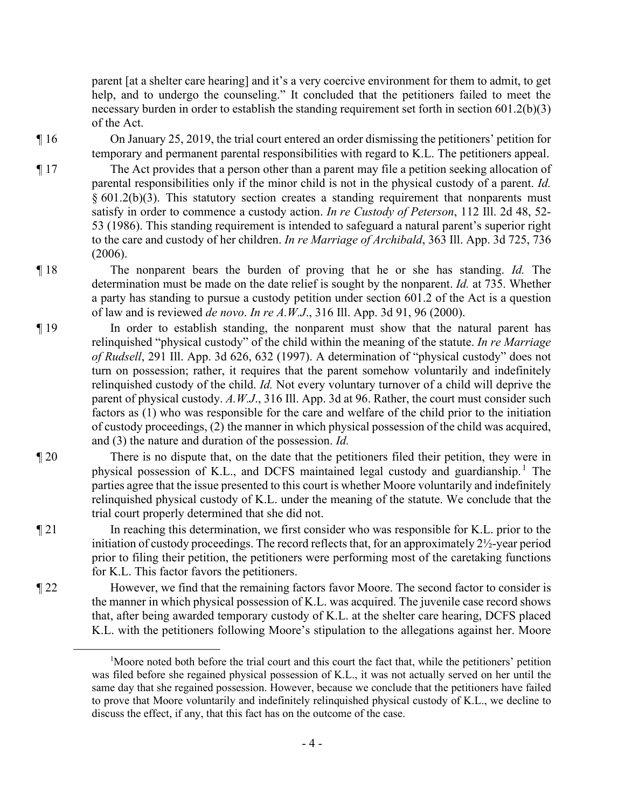parent [at a shelter care hearing] and it's a very coercive environment for them to admit, to get help, and to undergo the counseling." It concluded that the petitioners failed to meet the necessary burden in order to establish the standing requirement set forth in section 601.2(b)(3) of the Act.

¶ 16 On January 25, 2019, the trial court entered an order dismissing the petitioners' petition for temporary and permanent parental responsibilities with regard to K.L. The petitioners appeal.

¶ 17 The Act provides that a person other than a parent may file a petition seeking allocation of parental responsibilities only if the minor child is not in the physical custody of a parent. *Id.*  $§ 601.2(b)(3)$ . This statutory section creates a standing requirement that nonparents must satisfy in order to commence a custody action. *In re Custody of Peterson*, 112 Ill. 2d 48, 52- 53 (1986). This standing requirement is intended to safeguard a natural parent's superior right to the care and custody of her children. *In re Marriage of Archibald*, 363 Ill. App. 3d 725, 736 (2006).

¶ 18 The nonparent bears the burden of proving that he or she has standing. *Id.* The determination must be made on the date relief is sought by the nonparent. *Id.* at 735. Whether a party has standing to pursue a custody petition under section 601.2 of the Act is a question of law and is reviewed *de novo*. *In re A.W.J*., 316 Ill. App. 3d 91, 96 (2000).

¶ 19 In order to establish standing, the nonparent must show that the natural parent has relinquished "physical custody" of the child within the meaning of the statute. *In re Marriage of Rudsell*, 291 Ill. App. 3d 626, 632 (1997). A determination of "physical custody" does not turn on possession; rather, it requires that the parent somehow voluntarily and indefinitely relinquished custody of the child. *Id.* Not every voluntary turnover of a child will deprive the parent of physical custody. *A.W.J*., 316 Ill. App. 3d at 96. Rather, the court must consider such factors as (1) who was responsible for the care and welfare of the child prior to the initiation of custody proceedings, (2) the manner in which physical possession of the child was acquired, and (3) the nature and duration of the possession. *Id.*

¶ 20 There is no dispute that, on the date that the petitioners filed their petition, they were in physical possession of K.L., and DCFS maintained legal custody and guardianship.<sup>1</sup> The parties agree that the issue presented to this court is whether Moore voluntarily and indefinitely relinquished physical custody of K.L. under the meaning of the statute. We conclude that the trial court properly determined that she did not.

- ¶ 21 In reaching this determination, we first consider who was responsible for K.L. prior to the initiation of custody proceedings. The record reflects that, for an approximately  $2\frac{1}{2}$ -year period prior to filing their petition, the petitioners were performing most of the caretaking functions for K.L. This factor favors the petitioners.
- ¶ 22 However, we find that the remaining factors favor Moore. The second factor to consider is the manner in which physical possession of K.L. was acquired. The juvenile case record shows that, after being awarded temporary custody of K.L. at the shelter care hearing, DCFS placed K.L. with the petitioners following Moore's stipulation to the allegations against her. Moore

<sup>&</sup>lt;sup>1</sup>Moore noted both before the trial court and this court the fact that, while the petitioners' petition was filed before she regained physical possession of K.L., it was not actually served on her until the same day that she regained possession. However, because we conclude that the petitioners have failed to prove that Moore voluntarily and indefinitely relinquished physical custody of K.L., we decline to discuss the effect, if any, that this fact has on the outcome of the case.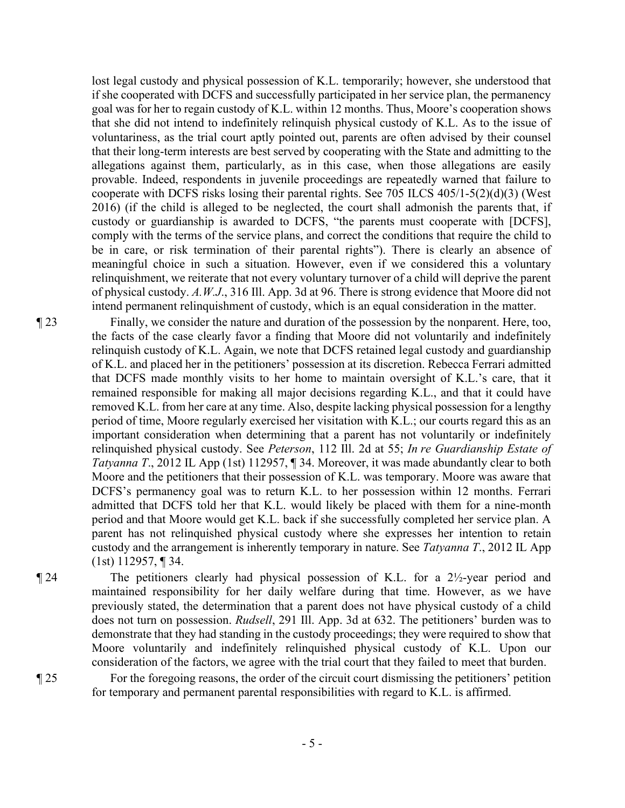lost legal custody and physical possession of K.L. temporarily; however, she understood that if she cooperated with DCFS and successfully participated in her service plan, the permanency goal was for her to regain custody of K.L. within 12 months. Thus, Moore's cooperation shows that she did not intend to indefinitely relinquish physical custody of K.L. As to the issue of voluntariness, as the trial court aptly pointed out, parents are often advised by their counsel that their long-term interests are best served by cooperating with the State and admitting to the allegations against them, particularly, as in this case, when those allegations are easily provable. Indeed, respondents in juvenile proceedings are repeatedly warned that failure to cooperate with DCFS risks losing their parental rights. See 705 ILCS 405/1-5(2)(d)(3) (West 2016) (if the child is alleged to be neglected, the court shall admonish the parents that, if custody or guardianship is awarded to DCFS, "the parents must cooperate with [DCFS], comply with the terms of the service plans, and correct the conditions that require the child to be in care, or risk termination of their parental rights"). There is clearly an absence of meaningful choice in such a situation. However, even if we considered this a voluntary relinquishment, we reiterate that not every voluntary turnover of a child will deprive the parent of physical custody. *A.W.J*., 316 Ill. App. 3d at 96. There is strong evidence that Moore did not intend permanent relinquishment of custody, which is an equal consideration in the matter.

¶ 23 Finally, we consider the nature and duration of the possession by the nonparent. Here, too, the facts of the case clearly favor a finding that Moore did not voluntarily and indefinitely relinquish custody of K.L. Again, we note that DCFS retained legal custody and guardianship of K.L. and placed her in the petitioners' possession at its discretion. Rebecca Ferrari admitted that DCFS made monthly visits to her home to maintain oversight of K.L.'s care, that it remained responsible for making all major decisions regarding K.L., and that it could have removed K.L. from her care at any time. Also, despite lacking physical possession for a lengthy period of time, Moore regularly exercised her visitation with K.L.; our courts regard this as an important consideration when determining that a parent has not voluntarily or indefinitely relinquished physical custody. See *Peterson*, 112 Ill. 2d at 55; *In re Guardianship Estate of Tatyanna T*., 2012 IL App (1st) 112957, ¶ 34. Moreover, it was made abundantly clear to both Moore and the petitioners that their possession of K.L. was temporary. Moore was aware that DCFS's permanency goal was to return K.L. to her possession within 12 months. Ferrari admitted that DCFS told her that K.L. would likely be placed with them for a nine-month period and that Moore would get K.L. back if she successfully completed her service plan. A parent has not relinquished physical custody where she expresses her intention to retain custody and the arrangement is inherently temporary in nature. See *Tatyanna T*., 2012 IL App (1st) 112957, ¶ 34.

¶ 24 The petitioners clearly had physical possession of K.L. for a 2½-year period and maintained responsibility for her daily welfare during that time. However, as we have previously stated, the determination that a parent does not have physical custody of a child does not turn on possession. *Rudsell*, 291 Ill. App. 3d at 632. The petitioners' burden was to demonstrate that they had standing in the custody proceedings; they were required to show that Moore voluntarily and indefinitely relinquished physical custody of K.L. Upon our consideration of the factors, we agree with the trial court that they failed to meet that burden.

¶ 25 For the foregoing reasons, the order of the circuit court dismissing the petitioners' petition for temporary and permanent parental responsibilities with regard to K.L. is affirmed.